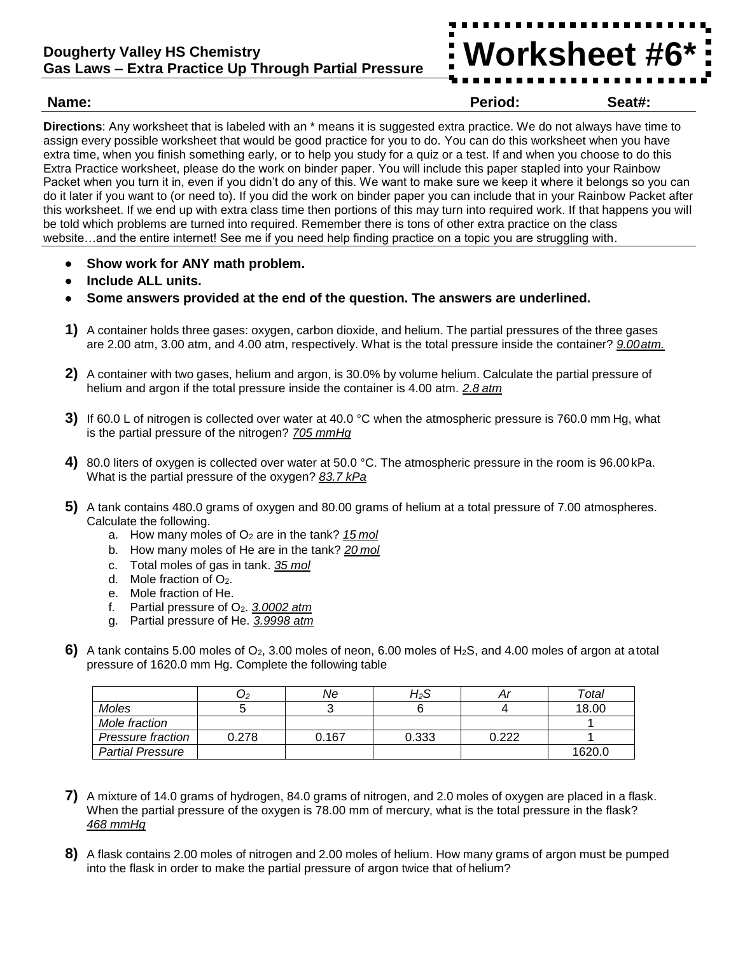## **Dougherty Valley HS Chemistry Gas Laws – Extra Practice Up Through Partial Pressure**



**Name: Period: Seat#:**

**Directions**: Any worksheet that is labeled with an \* means it is suggested extra practice. We do not always have time to assign every possible worksheet that would be good practice for you to do. You can do this worksheet when you have extra time, when you finish something early, or to help you study for a quiz or a test. If and when you choose to do this Extra Practice worksheet, please do the work on binder paper. You will include this paper stapled into your Rainbow Packet when you turn it in, even if you didn't do any of this. We want to make sure we keep it where it belongs so you can do it later if you want to (or need to). If you did the work on binder paper you can include that in your Rainbow Packet after this worksheet. If we end up with extra class time then portions of this may turn into required work. If that happens you will be told which problems are turned into required. Remember there is tons of other extra practice on the class website…and the entire internet! See me if you need help finding practice on a topic you are struggling with.

- **Show work for ANY math problem.**
- **Include ALL units.**
- **Some answers provided at the end of the question. The answers are underlined.**
- **1)** A container holds three gases: oxygen, carbon dioxide, and helium. The partial pressures of the three gases are 2.00 atm, 3.00 atm, and 4.00 atm, respectively. What is the total pressure inside the container? *9.00atm.*
- **2)** A container with two gases, helium and argon, is 30.0% by volume helium. Calculate the partial pressure of helium and argon if the total pressure inside the container is 4.00 atm. *2.8 atm*
- **3)** If 60.0 L of nitrogen is collected over water at 40.0 °C when the atmospheric pressure is 760.0 mm Hg, what is the partial pressure of the nitrogen? *705 mmHg*
- **4)** 80.0 liters of oxygen is collected over water at 50.0 °C. The atmospheric pressure in the room is 96.00kPa. What is the partial pressure of the oxygen? *83.7 kPa*
- **5)** A tank contains 480.0 grams of oxygen and 80.00 grams of helium at a total pressure of 7.00 atmospheres. Calculate the following.
	- a. How many moles of O<sup>2</sup> are in the tank? *15 mol*
	- b. How many moles of He are in the tank? *20 mol*
	- c. Total moles of gas in tank. *35 mol*
	- d. Mole fraction of O2.
	- e. Mole fraction of He.
	- f. Partial pressure of O2. *3.0002 atm*
	- g. Partial pressure of He. *3.9998 atm*
- **6)** A tank contains 5.00 moles of O2, 3.00 moles of neon, 6.00 moles of H2S, and 4.00 moles of argon at a total pressure of 1620.0 mm Hg. Complete the following table

|                         | U2    | Ne    | H2S   |       | Total  |
|-------------------------|-------|-------|-------|-------|--------|
| Moles                   |       |       |       |       | 18.00  |
| Mole fraction           |       |       |       |       |        |
| Pressure fraction       | 0.278 | 0.167 | 0.333 | 0.222 |        |
| <b>Partial Pressure</b> |       |       |       |       | 1620.0 |

- **7)** A mixture of 14.0 grams of hydrogen, 84.0 grams of nitrogen, and 2.0 moles of oxygen are placed in a flask. When the partial pressure of the oxygen is 78.00 mm of mercury, what is the total pressure in the flask? *468 mmHg*
- **8)** A flask contains 2.00 moles of nitrogen and 2.00 moles of helium. How many grams of argon must be pumped into the flask in order to make the partial pressure of argon twice that of helium?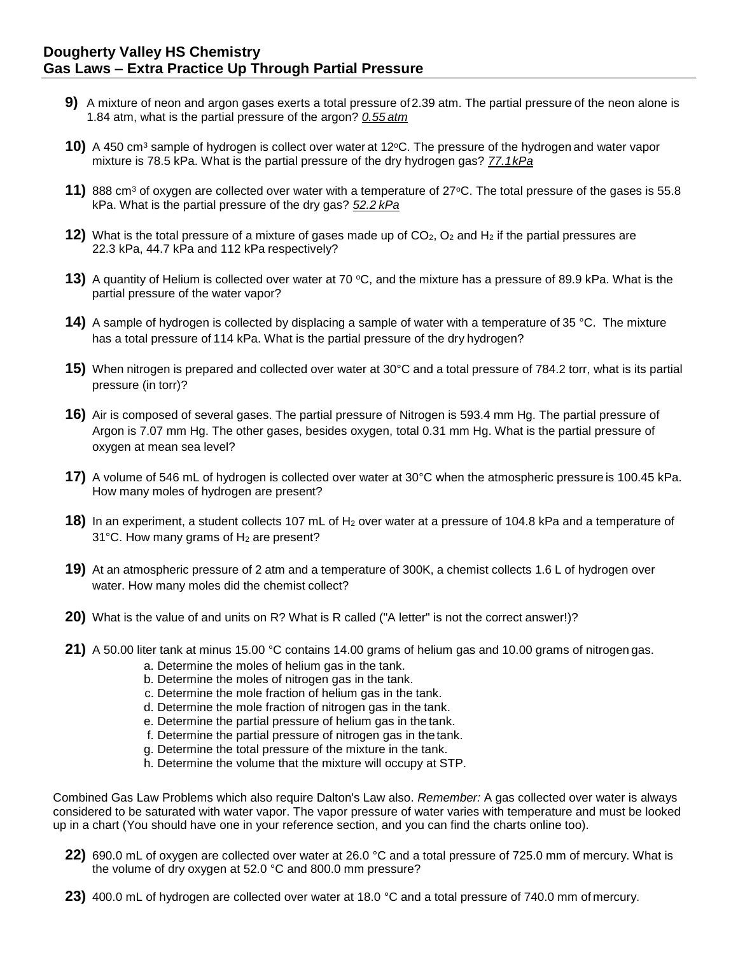- **9)** A mixture of neon and argon gases exerts a total pressure of 2.39 atm. The partial pressure of the neon alone is 1.84 atm, what is the partial pressure of the argon? *0.55 atm*
- **10)** A 450 cm<sup>3</sup> sample of hydrogen is collect over water at 12°C. The pressure of the hydrogen and water vapor mixture is 78.5 kPa. What is the partial pressure of the dry hydrogen gas? *77.1kPa*
- **11)** 888 cm<sup>3</sup> of oxygen are collected over water with a temperature of 27°C. The total pressure of the gases is 55.8 kPa. What is the partial pressure of the dry gas? *52.2 kPa*
- **12)** What is the total pressure of a mixture of gases made up of CO<sub>2</sub>, O<sub>2</sub> and H<sub>2</sub> if the partial pressures are 22.3 kPa, 44.7 kPa and 112 kPa respectively?
- **13)** A quantity of Helium is collected over water at 70 °C, and the mixture has a pressure of 89.9 kPa. What is the partial pressure of the water vapor?
- **14)** A sample of hydrogen is collected by displacing a sample of water with a temperature of 35 °C. The mixture has a total pressure of 114 kPa. What is the partial pressure of the dry hydrogen?
- **15)** When nitrogen is prepared and collected over water at 30°C and a total pressure of 784.2 torr, what is its partial pressure (in torr)?
- **16)** Air is composed of several gases. The partial pressure of Nitrogen is 593.4 mm Hg. The partial pressure of Argon is 7.07 mm Hg. The other gases, besides oxygen, total 0.31 mm Hg. What is the partial pressure of oxygen at mean sea level?
- **17)** A volume of 546 mL of hydrogen is collected over water at 30°C when the atmospheric pressure is 100.45 kPa. How many moles of hydrogen are present?
- **18)** In an experiment, a student collects 107 mL of H<sub>2</sub> over water at a pressure of 104.8 kPa and a temperature of 31 $^{\circ}$ C. How many grams of H<sub>2</sub> are present?
- **19)** At an atmospheric pressure of 2 atm and a temperature of 300K, a chemist collects 1.6 L of hydrogen over water. How many moles did the chemist collect?
- **20)** What is the value of and units on R? What is R called ("A letter" is not the correct answer!)?
- **21)** A 50.00 liter tank at minus 15.00 °C contains 14.00 grams of helium gas and 10.00 grams of nitrogen gas.
	- a. Determine the moles of helium gas in the tank.
	- b. Determine the moles of nitrogen gas in the tank.
	- c. Determine the mole fraction of helium gas in the tank.
	- d. Determine the mole fraction of nitrogen gas in the tank.
	- e. Determine the partial pressure of helium gas in the tank.
	- f. Determine the partial pressure of nitrogen gas in the tank.
	- g. Determine the total pressure of the mixture in the tank.
	- h. Determine the volume that the mixture will occupy at STP.

Combined Gas Law Problems which also require Dalton's Law also. *Remember:* A gas collected over water is always considered to be saturated with water vapor. The vapor pressure of water varies with temperature and must be looked up in a chart (You should have one in your reference section, and you can find the charts online too).

- **22)** 690.0 mL of oxygen are collected over water at 26.0 °C and a total pressure of 725.0 mm of mercury. What is the volume of dry oxygen at 52.0 °C and 800.0 mm pressure?
- **23)** 400.0 mL of hydrogen are collected over water at 18.0 °C and a total pressure of 740.0 mm of mercury.